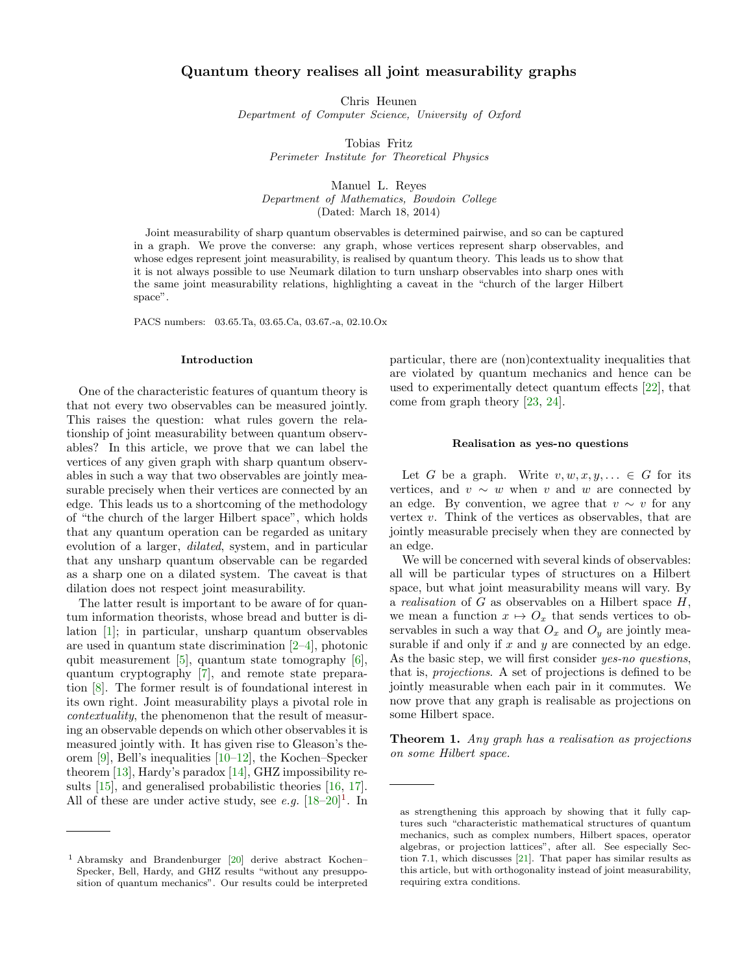# Quantum theory realises all joint measurability graphs

Chris Heunen Department of Computer Science, University of Oxford

> Tobias Fritz Perimeter Institute for Theoretical Physics

Manuel L. Reyes Department of Mathematics, Bowdoin College (Dated: March 18, 2014)

Joint measurability of sharp quantum observables is determined pairwise, and so can be captured in a graph. We prove the converse: any graph, whose vertices represent sharp observables, and whose edges represent joint measurability, is realised by quantum theory. This leads us to show that it is not always possible to use Neumark dilation to turn unsharp observables into sharp ones with the same joint measurability relations, highlighting a caveat in the "church of the larger Hilbert space".

PACS numbers: 03.65.Ta, 03.65.Ca, 03.67.-a, 02.10.Ox

#### Introduction

One of the characteristic features of quantum theory is that not every two observables can be measured jointly. This raises the question: what rules govern the relationship of joint measurability between quantum observables? In this article, we prove that we can label the vertices of any given graph with sharp quantum observables in such a way that two observables are jointly measurable precisely when their vertices are connected by an edge. This leads us to a shortcoming of the methodology of "the church of the larger Hilbert space", which holds that any quantum operation can be regarded as unitary evolution of a larger, dilated, system, and in particular that any unsharp quantum observable can be regarded as a sharp one on a dilated system. The caveat is that dilation does not respect joint measurability.

The latter result is important to be aware of for quantum information theorists, whose bread and butter is dilation [\[1\]](#page-4-0); in particular, unsharp quantum observables are used in quantum state discrimination [\[2–](#page-4-1)[4\]](#page-4-2), photonic qubit measurement  $[5]$ , quantum state tomography  $[6]$ , quantum cryptography [\[7\]](#page-4-5), and remote state preparation [\[8\]](#page-4-6). The former result is of foundational interest in its own right. Joint measurability plays a pivotal role in contextuality, the phenomenon that the result of measuring an observable depends on which other observables it is measured jointly with. It has given rise to Gleason's theorem [\[9\]](#page-4-7), Bell's inequalities [\[10](#page-4-8)[–12\]](#page-4-9), the Kochen–Specker theorem [\[13\]](#page-4-10), Hardy's paradox [\[14\]](#page-4-11), GHZ impossibility results [\[15\]](#page-4-12), and generalised probabilistic theories [\[16,](#page-4-13) [17\]](#page-4-14). All of these are under active study, see e.g.  $[18-20]$  $[18-20]$ <sup>[1](#page-0-0)</sup>. In

particular, there are (non)contextuality inequalities that are violated by quantum mechanics and hence can be used to experimentally detect quantum effects [\[22\]](#page-4-17), that come from graph theory [\[23,](#page-4-18) [24\]](#page-4-19).

#### Realisation as yes-no questions

Let G be a graph. Write  $v, w, x, y, ... \in G$  for its vertices, and  $v \sim w$  when v and w are connected by an edge. By convention, we agree that  $v \sim v$  for any vertex  $v$ . Think of the vertices as observables, that are jointly measurable precisely when they are connected by an edge.

We will be concerned with several kinds of observables: all will be particular types of structures on a Hilbert space, but what joint measurability means will vary. By a *realisation* of  $G$  as observables on a Hilbert space  $H$ , we mean a function  $x \mapsto O_x$  that sends vertices to observables in such a way that  $O_x$  and  $O_y$  are jointly measurable if and only if  $x$  and  $y$  are connected by an edge. As the basic step, we will first consider *yes-no questions*, that is, projections. A set of projections is defined to be jointly measurable when each pair in it commutes. We now prove that any graph is realisable as projections on some Hilbert space.

<span id="page-0-1"></span>**Theorem 1.** Any graph has a realisation as projections on some Hilbert space.

<span id="page-0-0"></span><sup>1</sup> Abramsky and Brandenburger [\[20\]](#page-4-16) derive abstract Kochen– Specker, Bell, Hardy, and GHZ results "without any presupposition of quantum mechanics". Our results could be interpreted

as strengthening this approach by showing that it fully captures such "characteristic mathematical structures of quantum mechanics, such as complex numbers, Hilbert spaces, operator algebras, or projection lattices", after all. See especially Section 7.1, which discusses [\[21\]](#page-4-20). That paper has similar results as this article, but with orthogonality instead of joint measurability, requiring extra conditions.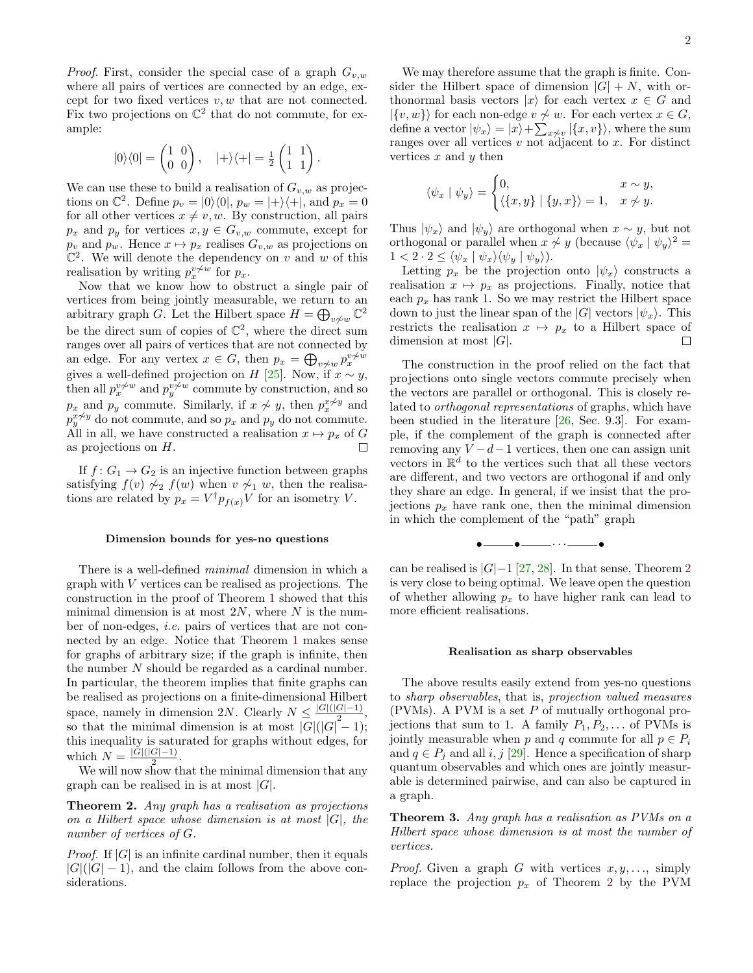*Proof.* First, consider the special case of a graph  $G_{v,w}$ where all pairs of vertices are connected by an edge, except for two fixed vertices  $v, w$  that are not connected. Fix two projections on  $\mathbb{C}^2$  that do not commute, for example:

$$
|0\rangle\langle 0| = \begin{pmatrix} 1 & 0 \\ 0 & 0 \end{pmatrix}, \quad |+\rangle\langle +| = \frac{1}{2} \begin{pmatrix} 1 & 1 \\ 1 & 1 \end{pmatrix}
$$

.

We can use these to build a realisation of  $G_{v,w}$  as projections on  $\mathbb{C}^2$ . Define  $p_v = |0\rangle\langle 0|, p_w = |+\rangle\langle +|$ , and  $p_x = 0$ for all other vertices  $x \neq v, w$ . By construction, all pairs  $p_x$  and  $p_y$  for vertices  $x, y \in G_{v,w}$  commute, except for  $p_v$  and  $p_w$ . Hence  $x \mapsto p_x$  realises  $G_{v,w}$  as projections on  $\mathbb{C}^2$ . We will denote the dependency on v and w of this realisation by writing  $p_x^{v\neq w}$  for  $p_x$ .

Now that we know how to obstruct a single pair of vertices from being jointly measurable, we return to an arbitrary graph G. Let the Hilbert space  $H = \bigoplus_{v \neq w} \mathbb{C}^2$ be the direct sum of copies of  $\mathbb{C}^2$ , where the direct sum ranges over all pairs of vertices that are not connected by an edge. For any vertex  $x \in G$ , then  $p_x = \bigoplus_{v \neq w} p_x^{v \neq w}$ gives a well-defined projection on H [\[25\]](#page-4-21). Now, if  $x \sim y$ , then all  $p_x^{v \nsim w}$  and  $p_y^{v \nsim w}$  commute by construction, and so  $p_x$  and  $p_y$  commute. Similarly, if  $x \nsim y$ , then  $p_x^{x \nsim y}$  and  $p_y^x \not\sim y$  do not commute, and so  $p_x$  and  $p_y$  do not commute. All in all, we have constructed a realisation  $x \mapsto p_x$  of G as projections on H.  $\Box$ 

If  $f: G_1 \to G_2$  is an injective function between graphs satisfying  $f(v) \sim_2 f(w)$  when  $v \sim_1 w$ , then the realisations are related by  $p_x = V^{\dagger} p_{f(x)} V$  for an isometry V.

### Dimension bounds for yes-no questions

There is a well-defined minimal dimension in which a graph with V vertices can be realised as projections. The construction in the proof of Theorem [1](#page-0-1) showed that this minimal dimension is at most  $2N$ , where N is the number of non-edges, i.e. pairs of vertices that are not connected by an edge. Notice that Theorem [1](#page-0-1) makes sense for graphs of arbitrary size; if the graph is infinite, then the number N should be regarded as a cardinal number. In particular, the theorem implies that finite graphs can be realised as projections on a finite-dimensional Hilbert space, namely in dimension 2N. Clearly  $N \leq \frac{|G|(|G|-1)}{2}$  $\frac{G(-1)}{2},$ so that the minimal dimension is at most  $|G|(|G|-1);$ this inequality is saturated for graphs without edges, for which  $N = \frac{|G|(|G|-1)}{2}$  $\frac{(G|-1)}{2}$ .

We will now show that the minimal dimension that any graph can be realised in is at most  $|G|$ .

<span id="page-1-0"></span>Theorem 2. Any graph has a realisation as projections on a Hilbert space whose dimension is at most  $|G|$ , the number of vertices of G.

*Proof.* If  $|G|$  is an infinite cardinal number, then it equals  $|G|(|G|-1)$ , and the claim follows from the above considerations.

We may therefore assume that the graph is finite. Consider the Hilbert space of dimension  $|G| + N$ , with orthonormal basis vectors  $|x\rangle$  for each vertex  $x \in G$  and  $|\{v, w\}\rangle$  for each non-edge  $v \nsim w$ . For each vertex  $x \in G$ , define a vector  $|\psi_x\rangle = |x\rangle + \sum_{x \neq v} |\{x, v\}\rangle$ , where the sum ranges over all vertices  $v$  not adjacent to  $x$ . For distinct vertices  $x$  and  $y$  then

$$
\langle \psi_x | \psi_y \rangle = \begin{cases} 0, & x \sim y, \\ \langle \{x, y\} | \{y, x\} \rangle = 1, & x \not\sim y. \end{cases}
$$

Thus  $|\psi_x\rangle$  and  $|\psi_y\rangle$  are orthogonal when  $x \sim y$ , but not orthogonal or parallel when  $x \nsim y$  (because  $\langle \psi_x | \psi_y \rangle^2 =$  $1 < 2 \cdot 2 \le \langle \psi_x | \psi_x \rangle \langle \psi_y | \psi_y \rangle$ .

Letting  $p_x$  be the projection onto  $|\psi_x\rangle$  constructs a realisation  $x \mapsto p_x$  as projections. Finally, notice that each  $p_x$  has rank 1. So we may restrict the Hilbert space down to just the linear span of the  $|G|$  vectors  $|\psi_x\rangle$ . This restricts the realisation  $x \mapsto p_x$  to a Hilbert space of dimension at most  $|G|$ .  $\Box$ 

The construction in the proof relied on the fact that projections onto single vectors commute precisely when the vectors are parallel or orthogonal. This is closely related to orthogonal representations of graphs, which have been studied in the literature [\[26,](#page-4-22) Sec. 9.3]. For example, if the complement of the graph is connected after removing any  $V - d - 1$  vertices, then one can assign unit vectors in  $\mathbb{R}^d$  to the vertices such that all these vectors are different, and two vectors are orthogonal if and only they share an edge. In general, if we insist that the projections  $p_x$  have rank one, then the minimal dimension in which the complement of the "path" graph



can be realised is  $|G|-1$  [\[27,](#page-4-23) [28\]](#page-4-24). In that sense, Theorem [2](#page-1-0) is very close to being optimal. We leave open the question of whether allowing  $p_x$  to have higher rank can lead to more efficient realisations.

#### Realisation as sharp observables

The above results easily extend from yes-no questions to sharp observables, that is, projection valued measures (PVMs). A PVM is a set P of mutually orthogonal projections that sum to 1. A family  $P_1, P_2, \ldots$  of PVMs is jointly measurable when p and q commute for all  $p \in P_i$ and  $q \in P_j$  and all  $i, j$  [\[29\]](#page-4-25). Hence a specification of sharp quantum observables and which ones are jointly measurable is determined pairwise, and can also be captured in a graph.

<span id="page-1-1"></span>Theorem 3. Any graph has a realisation as PVMs on a Hilbert space whose dimension is at most the number of vertices.

*Proof.* Given a graph G with vertices  $x, y, \ldots$ , simply replace the projection  $p_x$  of Theorem [2](#page-1-0) by the PVM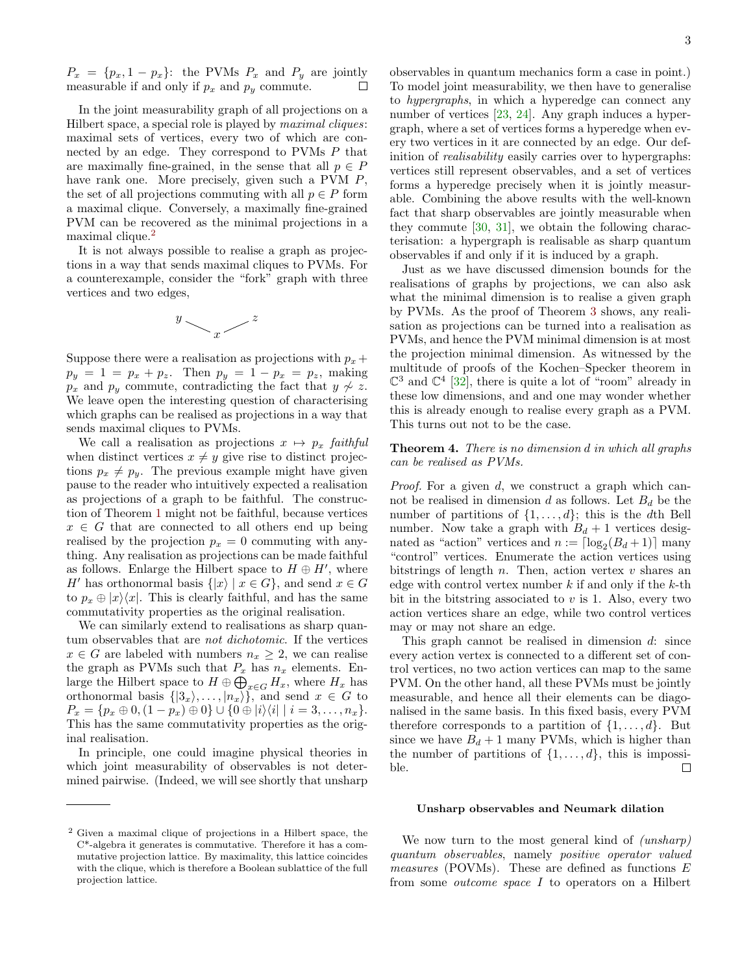$P_x = \{p_x, 1 - p_x\}$ : the PVMs  $P_x$  and  $P_y$  are jointly measurable if and only if  $p_x$  and  $p_y$  commute.  $\Box$ 

In the joint measurability graph of all projections on a Hilbert space, a special role is played by maximal cliques: maximal sets of vertices, every two of which are connected by an edge. They correspond to PVMs P that are maximally fine-grained, in the sense that all  $p \in P$ have rank one. More precisely, given such a PVM  $P$ , the set of all projections commuting with all  $p \in P$  form a maximal clique. Conversely, a maximally fine-grained PVM can be recovered as the minimal projections in a maximal clique.[2](#page-2-0)

It is not always possible to realise a graph as projections in a way that sends maximal cliques to PVMs. For a counterexample, consider the "fork" graph with three vertices and two edges,



Suppose there were a realisation as projections with  $p_x + p_y$  $p_y = 1 = p_x + p_z$ . Then  $p_y = 1 - p_x = p_z$ , making  $p_x$  and  $p_y$  commute, contradicting the fact that  $y \nsim z$ . We leave open the interesting question of characterising which graphs can be realised as projections in a way that sends maximal cliques to PVMs.

We call a realisation as projections  $x \mapsto p_x$  faithful when distinct vertices  $x \neq y$  give rise to distinct projections  $p_x \neq p_y$ . The previous example might have given pause to the reader who intuitively expected a realisation as projections of a graph to be faithful. The construction of Theorem [1](#page-0-1) might not be faithful, because vertices  $x \in G$  that are connected to all others end up being realised by the projection  $p_x = 0$  commuting with anything. Any realisation as projections can be made faithful as follows. Enlarge the Hilbert space to  $H \oplus H'$ , where H' has orthonormal basis  $\{|x\rangle | x \in G\}$ , and send  $x \in G$ to  $p_x \oplus |x\rangle\langle x|$ . This is clearly faithful, and has the same commutativity properties as the original realisation.

We can similarly extend to realisations as sharp quantum observables that are not dichotomic. If the vertices  $x \in G$  are labeled with numbers  $n_x \geq 2$ , we can realise the graph as PVMs such that  $P_x$  has  $n_x$  elements. Enlarge the Hilbert space to  $H \oplus \bigoplus_{x \in G} H_x$ , where  $H_x$  has orthonormal basis  $\{|3_x\rangle, \ldots, |n_x\rangle\}$ , and send  $x \in G$  to  $P_x = \{p_x \oplus 0, (1 - p_x) \oplus 0\} \cup \{0 \oplus |i\rangle\langle i| \mid i = 3, \ldots, n_x\}.$ This has the same commutativity properties as the original realisation.

In principle, one could imagine physical theories in which joint measurability of observables is not determined pairwise. (Indeed, we will see shortly that unsharp observables in quantum mechanics form a case in point.) To model joint measurability, we then have to generalise to hypergraphs, in which a hyperedge can connect any number of vertices [\[23,](#page-4-18) [24\]](#page-4-19). Any graph induces a hypergraph, where a set of vertices forms a hyperedge when every two vertices in it are connected by an edge. Our definition of realisability easily carries over to hypergraphs: vertices still represent observables, and a set of vertices forms a hyperedge precisely when it is jointly measurable. Combining the above results with the well-known fact that sharp observables are jointly measurable when they commute [\[30,](#page-4-26) [31\]](#page-4-27), we obtain the following characterisation: a hypergraph is realisable as sharp quantum observables if and only if it is induced by a graph.

Just as we have discussed dimension bounds for the realisations of graphs by projections, we can also ask what the minimal dimension is to realise a given graph by PVMs. As the proof of Theorem [3](#page-1-1) shows, any realisation as projections can be turned into a realisation as PVMs, and hence the PVM minimal dimension is at most the projection minimal dimension. As witnessed by the multitude of proofs of the Kochen–Specker theorem in  $\mathbb{C}^3$  and  $\mathbb{C}^4$  [\[32\]](#page-4-28), there is quite a lot of "room" already in these low dimensions, and and one may wonder whether this is already enough to realise every graph as a PVM. This turns out not to be the case.

## Theorem 4. There is no dimension d in which all graphs can be realised as PVMs.

Proof. For a given d, we construct a graph which cannot be realised in dimension  $d$  as follows. Let  $B_d$  be the number of partitions of  $\{1, \ldots, d\}$ ; this is the dth Bell number. Now take a graph with  $B_d + 1$  vertices designated as "action" vertices and  $n := \lceil \log_2(B_d + 1) \rceil$  many "control" vertices. Enumerate the action vertices using bitstrings of length n. Then, action vertex v shares an edge with control vertex number  $k$  if and only if the  $k$ -th bit in the bitstring associated to  $v$  is 1. Also, every two action vertices share an edge, while two control vertices may or may not share an edge.

This graph cannot be realised in dimension  $d$ : since every action vertex is connected to a different set of control vertices, no two action vertices can map to the same PVM. On the other hand, all these PVMs must be jointly measurable, and hence all their elements can be diagonalised in the same basis. In this fixed basis, every PVM therefore corresponds to a partition of  $\{1, \ldots, d\}$ . But since we have  $B_d + 1$  many PVMs, which is higher than the number of partitions of  $\{1, \ldots, d\}$ , this is impossi- $\Box$ ble.

#### Unsharp observables and Neumark dilation

We now turn to the most general kind of *(unsharp)* quantum observables, namely positive operator valued *measures* (POVMs). These are defined as functions  $E$ from some outcome space I to operators on a Hilbert

<span id="page-2-0"></span><sup>2</sup> Given a maximal clique of projections in a Hilbert space, the C\*-algebra it generates is commutative. Therefore it has a commutative projection lattice. By maximality, this lattice coincides with the clique, which is therefore a Boolean sublattice of the full projection lattice.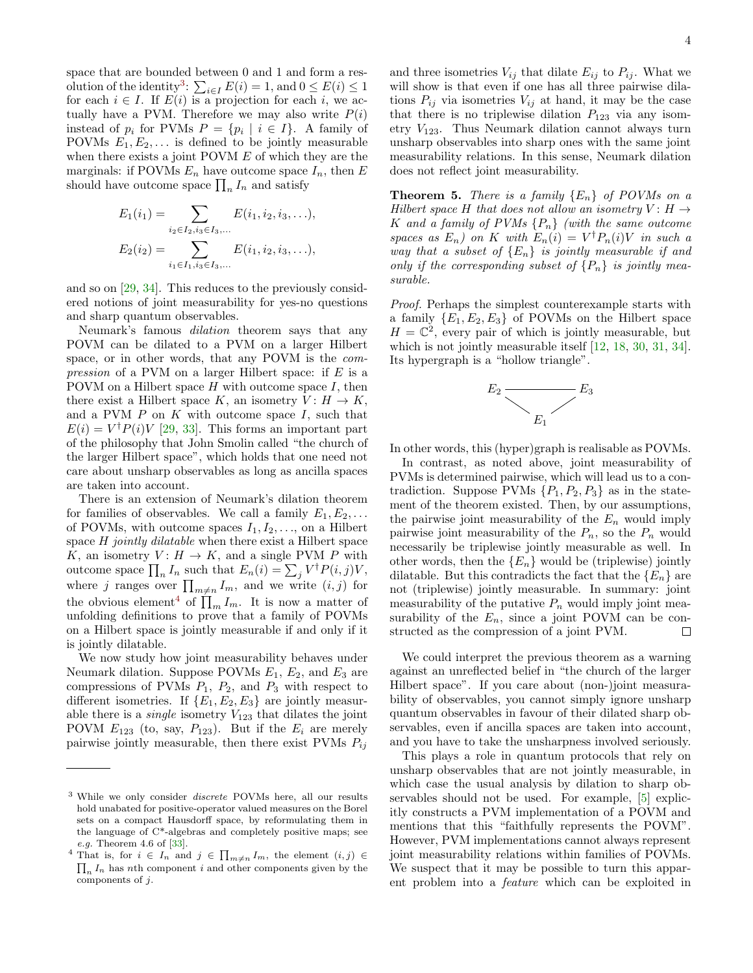space that are bounded between 0 and 1 and form a res-olution of the identity<sup>[3](#page-3-0)</sup>:  $\sum_{i \in I} E(i) = 1$ , and  $0 \le E(i) \le 1$ for each  $i \in I$ . If  $E(i)$  is a projection for each i, we actually have a PVM. Therefore we may also write  $P(i)$ instead of  $p_i$  for PVMs  $P = \{p_i \mid i \in I\}$ . A family of POVMs  $E_1, E_2, \ldots$  is defined to be jointly measurable when there exists a joint POVM  $E$  of which they are the marginals: if POVMs  $E_n$  have outcome space  $I_n$ , then E should have outcome space  $\prod_n I_n$  and satisfy

$$
E_1(i_1) = \sum_{i_2 \in I_2, i_3 \in I_3, \dots} E(i_1, i_2, i_3, \dots),
$$
  
\n
$$
E_2(i_2) = \sum_{i_1 \in I_1, i_3 \in I_3, \dots} E(i_1, i_2, i_3, \dots),
$$

and so on [\[29,](#page-4-25) [34\]](#page-5-0). This reduces to the previously considered notions of joint measurability for yes-no questions and sharp quantum observables.

Neumark's famous dilation theorem says that any POVM can be dilated to a PVM on a larger Hilbert space, or in other words, that any POVM is the com*pression* of a PVM on a larger Hilbert space: if  $E$  is a POVM on a Hilbert space  $H$  with outcome space  $I$ , then there exist a Hilbert space K, an isometry  $V: H \to K$ , and a PVM  $P$  on  $K$  with outcome space  $I$ , such that  $E(i) = V^{\dagger} P(i) V$  [\[29,](#page-4-25) [33\]](#page-5-1). This forms an important part of the philosophy that John Smolin called "the church of the larger Hilbert space", which holds that one need not care about unsharp observables as long as ancilla spaces are taken into account.

There is an extension of Neumark's dilation theorem for families of observables. We call a family  $E_1, E_2, \ldots$ of POVMs, with outcome spaces  $I_1, I_2, \ldots$ , on a Hilbert space  $H$  jointly dilatable when there exist a Hilbert space K, an isometry  $V: H \to K$ , and a single PVM P with outcome space  $\prod_n I_n$  such that  $E_n(i) = \sum_j V^{\dagger} P(i, j) V$ , where j ranges over  $\prod_{m \neq n} I_m$ , and we write  $(i, j)$  for the obvious element<sup>[4](#page-3-1)</sup> of  $\prod_m I_m$ . It is now a matter of unfolding definitions to prove that a family of POVMs on a Hilbert space is jointly measurable if and only if it is jointly dilatable.

We now study how joint measurability behaves under Neumark dilation. Suppose POVMs  $E_1$ ,  $E_2$ , and  $E_3$  are compressions of PVMs  $P_1$ ,  $P_2$ , and  $P_3$  with respect to different isometries. If  $\{E_1, E_2, E_3\}$  are jointly measurable there is a *single* isometry  $V_{123}$  that dilates the joint POVM  $E_{123}$  (to, say,  $P_{123}$ ). But if the  $E_i$  are merely pairwise jointly measurable, then there exist PVMs  $P_{ij}$  and three isometries  $V_{ij}$  that dilate  $E_{ij}$  to  $P_{ij}$ . What we will show is that even if one has all three pairwise dilations  $P_{ij}$  via isometries  $V_{ij}$  at hand, it may be the case that there is no triplewise dilation  $P_{123}$  via any isometry  $V_{123}$ . Thus Neumark dilation cannot always turn unsharp observables into sharp ones with the same joint measurability relations. In this sense, Neumark dilation does not reflect joint measurability.

<span id="page-3-2"></span>**Theorem 5.** There is a family  $\{E_n\}$  of POVMs on a Hilbert space H that does not allow an isometry  $V: H \rightarrow$ K and a family of PVMs  ${P_n}$  (with the same outcome spaces as  $E_n$ ) on K with  $E_n(i) = V^{\dagger} P_n(i) V$  in such a way that a subset of  ${E_n}$  is jointly measurable if and only if the corresponding subset of  $\{P_n\}$  is jointly measurable.

Proof. Perhaps the simplest counterexample starts with a family  ${E_1, E_2, E_3}$  of POVMs on the Hilbert space  $H = \mathbb{C}^2$ , every pair of which is jointly measurable, but which is not jointly measurable itself  $[12, 18, 30, 31, 34]$  $[12, 18, 30, 31, 34]$  $[12, 18, 30, 31, 34]$  $[12, 18, 30, 31, 34]$  $[12, 18, 30, 31, 34]$  $[12, 18, 30, 31, 34]$  $[12, 18, 30, 31, 34]$  $[12, 18, 30, 31, 34]$  $[12, 18, 30, 31, 34]$ . Its hypergraph is a "hollow triangle".



In other words, this (hyper)graph is realisable as POVMs.

In contrast, as noted above, joint measurability of PVMs is determined pairwise, which will lead us to a contradiction. Suppose PVMs  $\{P_1, P_2, P_3\}$  as in the statement of the theorem existed. Then, by our assumptions, the pairwise joint measurability of the  $E_n$  would imply pairwise joint measurability of the  $P_n$ , so the  $P_n$  would necessarily be triplewise jointly measurable as well. In other words, then the  ${E_n}$  would be (triplewise) jointly dilatable. But this contradicts the fact that the  ${E_n}$  are not (triplewise) jointly measurable. In summary: joint measurability of the putative  $P_n$  would imply joint measurability of the  $E_n$ , since a joint POVM can be constructed as the compression of a joint PVM.  $\Box$ 

We could interpret the previous theorem as a warning against an unreflected belief in "the church of the larger Hilbert space". If you care about (non-)joint measurability of observables, you cannot simply ignore unsharp quantum observables in favour of their dilated sharp observables, even if ancilla spaces are taken into account, and you have to take the unsharpness involved seriously.

This plays a role in quantum protocols that rely on unsharp observables that are not jointly measurable, in which case the usual analysis by dilation to sharp observables should not be used. For example, [\[5\]](#page-4-3) explicitly constructs a PVM implementation of a POVM and mentions that this "faithfully represents the POVM". However, PVM implementations cannot always represent joint measurability relations within families of POVMs. We suspect that it may be possible to turn this apparent problem into a feature which can be exploited in

<span id="page-3-0"></span><sup>3</sup> While we only consider discrete POVMs here, all our results hold unabated for positive-operator valued measures on the Borel sets on a compact Hausdorff space, by reformulating them in the language of C\*-algebras and completely positive maps; see e.g. Theorem 4.6 of [\[33\]](#page-5-1).

<span id="page-3-1"></span><sup>&</sup>lt;sup>4</sup> That is, for  $i \in I_n$  and  $j \in \prod_{m \neq n} I_m$ , the element  $(i, j) \in$  $\prod_n I_n$  has nth component i and other components given by the components of j.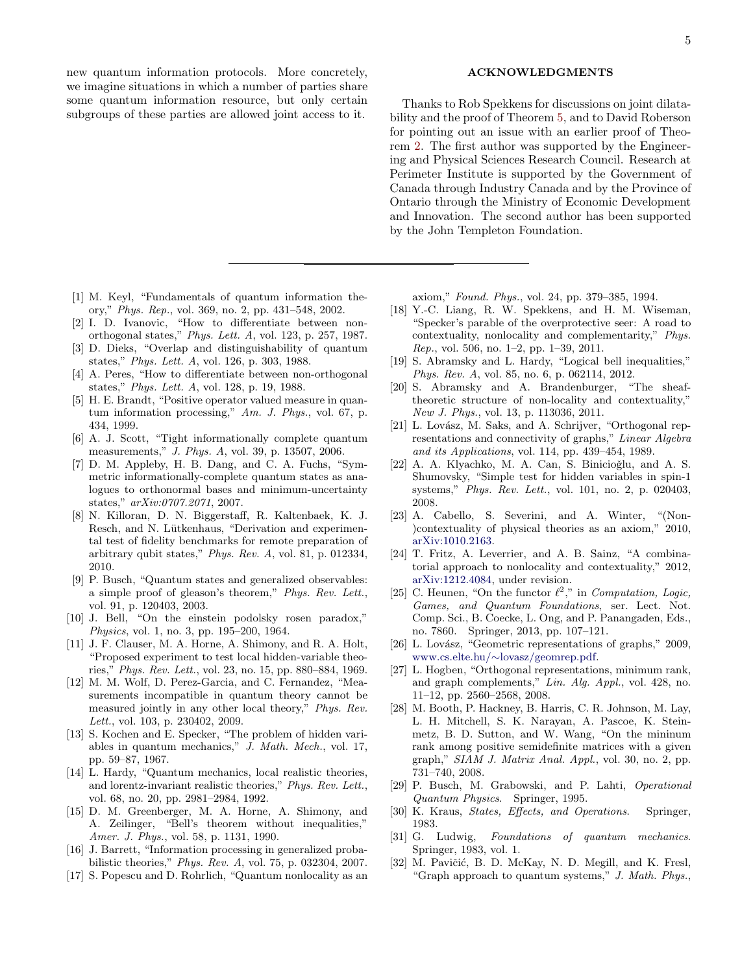new quantum information protocols. More concretely, we imagine situations in which a number of parties share some quantum information resource, but only certain subgroups of these parties are allowed joint access to it.

- <span id="page-4-0"></span>[1] M. Keyl, "Fundamentals of quantum information theory," Phys. Rep., vol. 369, no. 2, pp. 431–548, 2002.
- <span id="page-4-1"></span>[2] I. D. Ivanovic, "How to differentiate between nonorthogonal states," Phys. Lett. A, vol. 123, p. 257, 1987.
- [3] D. Dieks, "Overlap and distinguishability of quantum states," Phys. Lett. A, vol. 126, p. 303, 1988.
- <span id="page-4-2"></span>[4] A. Peres, "How to differentiate between non-orthogonal states," Phys. Lett. A, vol. 128, p. 19, 1988.
- <span id="page-4-3"></span>[5] H. E. Brandt, "Positive operator valued measure in quantum information processing," Am. J. Phys., vol. 67, p. 434, 1999.
- <span id="page-4-4"></span>[6] A. J. Scott, "Tight informationally complete quantum measurements," J. Phys. A, vol. 39, p. 13507, 2006.
- <span id="page-4-5"></span>[7] D. M. Appleby, H. B. Dang, and C. A. Fuchs, "Symmetric informationally-complete quantum states as analogues to orthonormal bases and minimum-uncertainty states," arXiv:0707.2071, 2007.
- <span id="page-4-6"></span>[8] N. Killoran, D. N. Biggerstaff, R. Kaltenbaek, K. J. Resch, and N. Lütkenhaus, "Derivation and experimental test of fidelity benchmarks for remote preparation of arbitrary qubit states," Phys. Rev. A, vol. 81, p. 012334, 2010.
- <span id="page-4-7"></span>[9] P. Busch, "Quantum states and generalized observables: a simple proof of gleason's theorem," Phys. Rev. Lett., vol. 91, p. 120403, 2003.
- <span id="page-4-8"></span>[10] J. Bell, "On the einstein podolsky rosen paradox," Physics, vol. 1, no. 3, pp. 195–200, 1964.
- [11] J. F. Clauser, M. A. Horne, A. Shimony, and R. A. Holt, "Proposed experiment to test local hidden-variable theories," Phys. Rev. Lett., vol. 23, no. 15, pp. 880–884, 1969.
- <span id="page-4-9"></span>[12] M. M. Wolf, D. Perez-Garcia, and C. Fernandez, "Measurements incompatible in quantum theory cannot be measured jointly in any other local theory," Phys. Rev. Lett., vol. 103, p. 230402, 2009.
- <span id="page-4-10"></span>[13] S. Kochen and E. Specker, "The problem of hidden variables in quantum mechanics," J. Math. Mech., vol. 17, pp. 59–87, 1967.
- <span id="page-4-11"></span>[14] L. Hardy, "Quantum mechanics, local realistic theories, and lorentz-invariant realistic theories," Phys. Rev. Lett., vol. 68, no. 20, pp. 2981–2984, 1992.
- <span id="page-4-12"></span>[15] D. M. Greenberger, M. A. Horne, A. Shimony, and A. Zeilinger, "Bell's theorem without inequalities," Amer. J. Phys., vol. 58, p. 1131, 1990.
- <span id="page-4-13"></span>[16] J. Barrett, "Information processing in generalized probabilistic theories," Phys. Rev. A, vol. 75, p. 032304, 2007.
- <span id="page-4-14"></span>[17] S. Popescu and D. Rohrlich, "Quantum nonlocality as an

#### ACKNOWLEDGMENTS

Thanks to Rob Spekkens for discussions on joint dilatability and the proof of Theorem [5,](#page-3-2) and to David Roberson for pointing out an issue with an earlier proof of Theorem [2.](#page-1-0) The first author was supported by the Engineering and Physical Sciences Research Council. Research at Perimeter Institute is supported by the Government of Canada through Industry Canada and by the Province of Ontario through the Ministry of Economic Development and Innovation. The second author has been supported by the John Templeton Foundation.

axiom," Found. Phys., vol. 24, pp. 379–385, 1994.

- <span id="page-4-15"></span>[18] Y.-C. Liang, R. W. Spekkens, and H. M. Wiseman, "Specker's parable of the overprotective seer: A road to contextuality, nonlocality and complementarity," Phys. Rep., vol. 506, no. 1–2, pp. 1–39, 2011.
- [19] S. Abramsky and L. Hardy, "Logical bell inequalities," Phys. Rev. A, vol. 85, no. 6, p. 062114, 2012.
- <span id="page-4-16"></span>[20] S. Abramsky and A. Brandenburger, "The sheaftheoretic structure of non-locality and contextuality," New J. Phys., vol. 13, p. 113036, 2011.
- <span id="page-4-20"></span>[21] L. Lovász, M. Saks, and A. Schrijver, "Orthogonal representations and connectivity of graphs," Linear Algebra and its Applications, vol. 114, pp. 439–454, 1989.
- <span id="page-4-17"></span>[22] A. A. Klyachko, M. A. Can, S. Binicioğlu, and A. S. Shumovsky, "Simple test for hidden variables in spin-1 systems," Phys. Rev. Lett., vol. 101, no. 2, p. 020403, 2008.
- <span id="page-4-18"></span>[23] A. Cabello, S. Severini, and A. Winter, "(Non- )contextuality of physical theories as an axiom," 2010, [arXiv:1010.2163.](http://arxiv.org/abs/1010.2163)
- <span id="page-4-19"></span>[24] T. Fritz, A. Leverrier, and A. B. Sainz, "A combinatorial approach to nonlocality and contextuality," 2012, [arXiv:1212.4084,](http://arxiv.org/abs/1212.4084) under revision.
- <span id="page-4-21"></span>[25] C. Heunen, "On the functor  $\ell^2$ ," in Computation, Logic, Games, and Quantum Foundations, ser. Lect. Not. Comp. Sci., B. Coecke, L. Ong, and P. Panangaden, Eds., no. 7860. Springer, 2013, pp. 107–121.
- <span id="page-4-22"></span>[26] L. Lovász, "Geometric representations of graphs," 2009, www.cs.elte.hu/∼[lovasz/geomrep.pdf.](http://www.cs.elte.hu/~lovasz/geomrep.pdf)
- <span id="page-4-23"></span>[27] L. Hogben, "Orthogonal representations, minimum rank, and graph complements," Lin. Alg. Appl., vol. 428, no. 11–12, pp. 2560–2568, 2008.
- <span id="page-4-24"></span>[28] M. Booth, P. Hackney, B. Harris, C. R. Johnson, M. Lay, L. H. Mitchell, S. K. Narayan, A. Pascoe, K. Steinmetz, B. D. Sutton, and W. Wang, "On the mininum rank among positive semidefinite matrices with a given graph," SIAM J. Matrix Anal. Appl., vol. 30, no. 2, pp. 731–740, 2008.
- <span id="page-4-25"></span>[29] P. Busch, M. Grabowski, and P. Lahti, Operational Quantum Physics. Springer, 1995.
- <span id="page-4-26"></span>[30] K. Kraus, States, Effects, and Operations. Springer, 1983.
- <span id="page-4-27"></span>[31] G. Ludwig, Foundations of quantum mechanics. Springer, 1983, vol. 1.
- <span id="page-4-28"></span>[32] M. Pavičić, B. D. McKay, N. D. Megill, and K. Fresl, "Graph approach to quantum systems,"  $J. Math. Phys.$